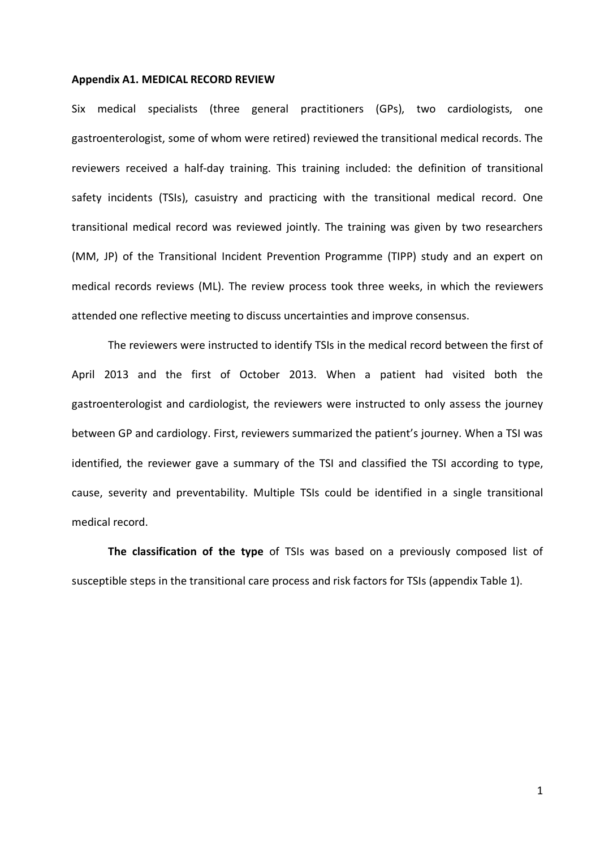## **Appendix A1. MEDICAL RECORD REVIEW**

Six medical specialists (three general practitioners (GPs), two cardiologists, one gastroenterologist, some of whom were retired) reviewed the transitional medical records. The reviewers received a half-day training. This training included: the definition of transitional safety incidents (TSIs), casuistry and practicing with the transitional medical record. One transitional medical record was reviewed jointly. The training was given by two researchers (MM, JP) of the Transitional Incident Prevention Programme (TIPP) study and an expert on medical records reviews (ML). The review process took three weeks, in which the reviewers attended one reflective meeting to discuss uncertainties and improve consensus.

The reviewers were instructed to identify TSIs in the medical record between the first of April 2013 and the first of October 2013. When a patient had visited both the gastroenterologist and cardiologist, the reviewers were instructed to only assess the journey between GP and cardiology. First, reviewers summarized the patient's journey. When a TSI was identified, the reviewer gave a summary of the TSI and classified the TSI according to type, cause, severity and preventability. Multiple TSIs could be identified in a single transitional medical record.

**The classification of the type** of TSIs was based on a previously composed list of susceptible steps in the transitional care process and risk factors for TSIs (appendix Table 1).

1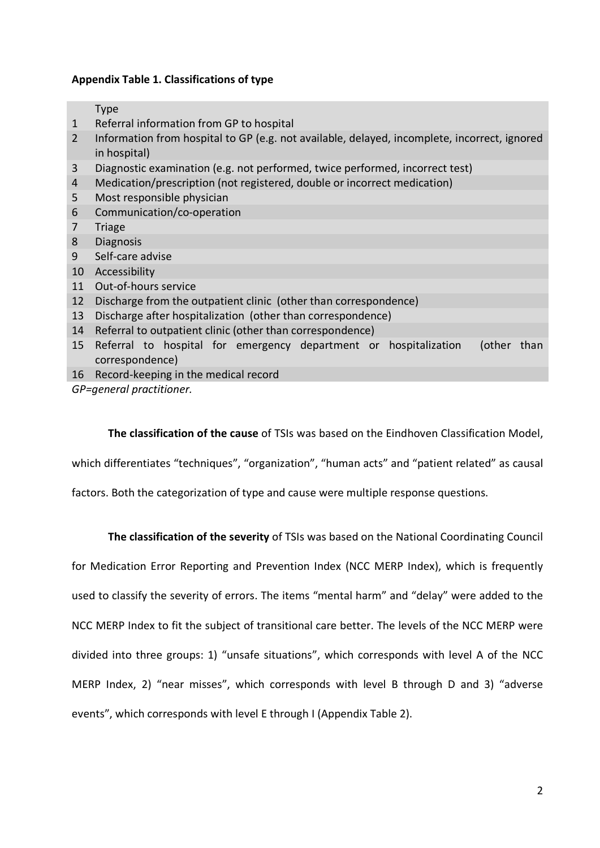## **Appendix Table 1. Classifications of type**

Type

- 1 Referral information from GP to hospital
- 2 Information from hospital to GP (e.g. not available, delayed, incomplete, incorrect, ignored in hospital)
- 3 Diagnostic examination (e.g. not performed, twice performed, incorrect test)
- 4 Medication/prescription (not registered, double or incorrect medication)
- 5 Most responsible physician
- 6 Communication/co-operation
- 7 Triage
- 8 Diagnosis
- 9 Self-care advise
- 10 Accessibility
- 11 Out-of-hours service
- 12 Discharge from the outpatient clinic (other than correspondence)
- 13 Discharge after hospitalization (other than correspondence)
- 14 Referral to outpatient clinic (other than correspondence)
- 15 Referral to hospital for emergency department or hospitalization (other than correspondence)
- 16 Record-keeping in the medical record

*GP=general practitioner.* 

**The classification of the cause** of TSIs was based on the Eindhoven Classification Model,

which differentiates "techniques", "organization", "human acts" and "patient related" as causal

factors. Both the categorization of type and cause were multiple response questions.

**The classification of the severity** of TSIs was based on the National Coordinating Council

for Medication Error Reporting and Prevention Index (NCC MERP Index), which is frequently used to classify the severity of errors. The items "mental harm" and "delay" were added to the NCC MERP Index to fit the subject of transitional care better. The levels of the NCC MERP were divided into three groups: 1) "unsafe situations", which corresponds with level A of the NCC MERP Index, 2) "near misses", which corresponds with level B through D and 3) "adverse events", which corresponds with level E through I (Appendix Table 2).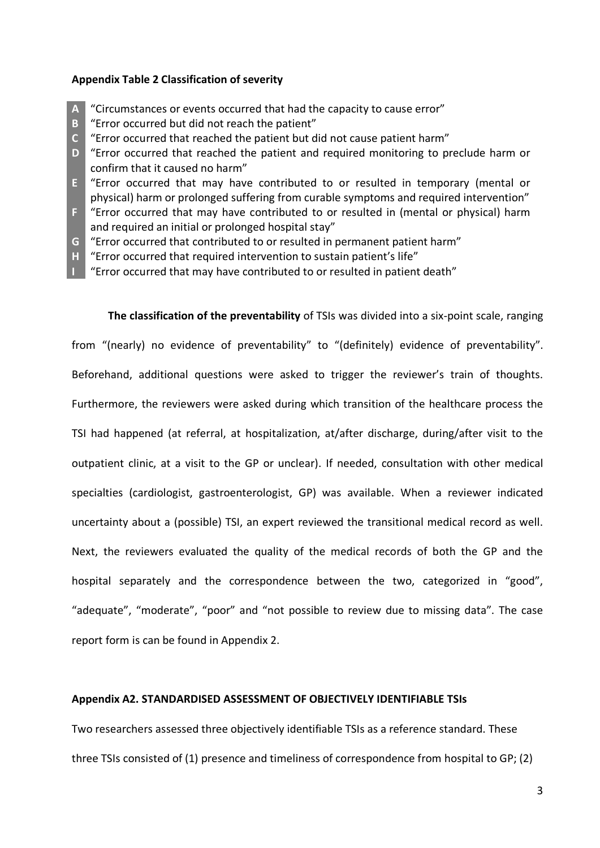## **Appendix Table 2 Classification of severity**

- **A** "Circumstances or events occurred that had the capacity to cause error"
- **B** "Error occurred but did not reach the patient"
- **C** "Error occurred that reached the patient but did not cause patient harm"
- **D** "Error occurred that reached the patient and required monitoring to preclude harm or confirm that it caused no harm"
- **E** "Error occurred that may have contributed to or resulted in temporary (mental or physical) harm or prolonged suffering from curable symptoms and required intervention"
- **F** "Error occurred that may have contributed to or resulted in (mental or physical) harm and required an initial or prolonged hospital stay"
- **G** "Error occurred that contributed to or resulted in permanent patient harm"
- **H** "Error occurred that required intervention to sustain patient's life"
- **I** "Error occurred that may have contributed to or resulted in patient death"

**The classification of the preventability** of TSIs was divided into a six-point scale, ranging from "(nearly) no evidence of preventability" to "(definitely) evidence of preventability". Beforehand, additional questions were asked to trigger the reviewer's train of thoughts. Furthermore, the reviewers were asked during which transition of the healthcare process the TSI had happened (at referral, at hospitalization, at/after discharge, during/after visit to the outpatient clinic, at a visit to the GP or unclear). If needed, consultation with other medical specialties (cardiologist, gastroenterologist, GP) was available. When a reviewer indicated uncertainty about a (possible) TSI, an expert reviewed the transitional medical record as well. Next, the reviewers evaluated the quality of the medical records of both the GP and the hospital separately and the correspondence between the two, categorized in "good", "adequate", "moderate", "poor" and "not possible to review due to missing data". The case report form is can be found in Appendix 2.

## **Appendix A2. STANDARDISED ASSESSMENT OF OBJECTIVELY IDENTIFIABLE TSIs**

Two researchers assessed three objectively identifiable TSIs as a reference standard. These three TSIs consisted of (1) presence and timeliness of correspondence from hospital to GP; (2)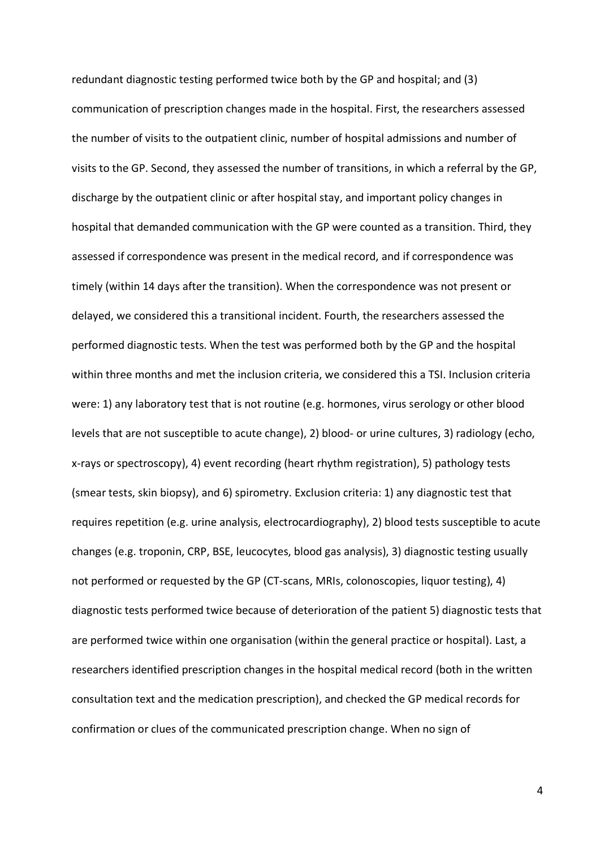redundant diagnostic testing performed twice both by the GP and hospital; and (3) communication of prescription changes made in the hospital. First, the researchers assessed the number of visits to the outpatient clinic, number of hospital admissions and number of visits to the GP. Second, they assessed the number of transitions, in which a referral by the GP, discharge by the outpatient clinic or after hospital stay, and important policy changes in hospital that demanded communication with the GP were counted as a transition. Third, they assessed if correspondence was present in the medical record, and if correspondence was timely (within 14 days after the transition). When the correspondence was not present or delayed, we considered this a transitional incident. Fourth, the researchers assessed the performed diagnostic tests. When the test was performed both by the GP and the hospital within three months and met the inclusion criteria, we considered this a TSI. Inclusion criteria were: 1) any laboratory test that is not routine (e.g. hormones, virus serology or other blood levels that are not susceptible to acute change), 2) blood- or urine cultures, 3) radiology (echo, x-rays or spectroscopy), 4) event recording (heart rhythm registration), 5) pathology tests (smear tests, skin biopsy), and 6) spirometry. Exclusion criteria: 1) any diagnostic test that requires repetition (e.g. urine analysis, electrocardiography), 2) blood tests susceptible to acute changes (e.g. troponin, CRP, BSE, leucocytes, blood gas analysis), 3) diagnostic testing usually not performed or requested by the GP (CT-scans, MRIs, colonoscopies, liquor testing), 4) diagnostic tests performed twice because of deterioration of the patient 5) diagnostic tests that are performed twice within one organisation (within the general practice or hospital). Last, a researchers identified prescription changes in the hospital medical record (both in the written consultation text and the medication prescription), and checked the GP medical records for confirmation or clues of the communicated prescription change. When no sign of

4